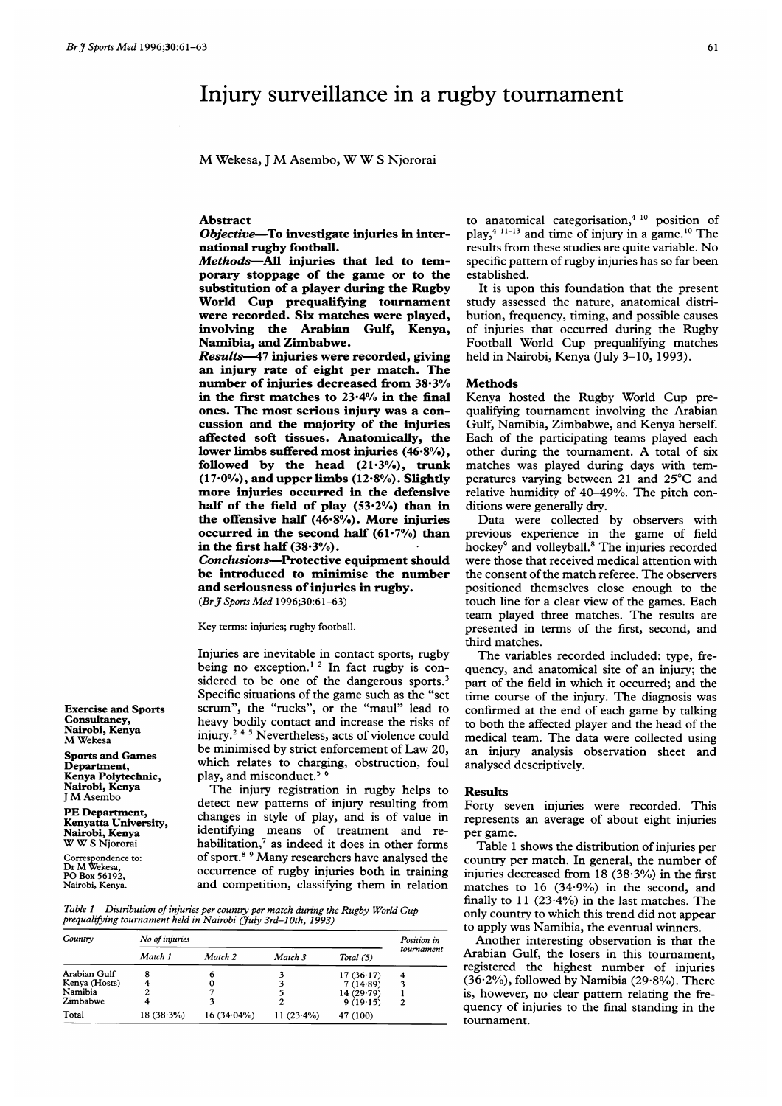# Injury surveillance in a rugby tournament

M Wekesa, <sup>J</sup> M Asembo, WW <sup>S</sup> Njororai

# Abstract

Objective-To investigate injuries in international rugby football.

Methods-All injuries that led to temporary stoppage of the game or to the substitution of a player during the Rugby World Cup prequalifying tournament were recorded. Six matches were played, involving the Arabian Gulf, Kenya, Namibia, and Zimbabwe.

Results-47 injuries were recorded, giving an injury rate of eight per match. The number of injuries decreased from 38-3% in the first matches to 23-4% in the final ones. The most serious injury was a concussion and the majority of the injuries affected soft tissues. Anatomically, the lower limbs suffered most injuries (46.8%), followed by the head  $(21.3\%)$ , trunk  $(17.0\%)$ , and upper limbs  $(12.8\%)$ . Slightly more injuries occurred in the defensive half of the field of play  $(53.2%)$  than in the offensive half  $(46.8\%)$ . More injuries occurred in the second half  $(61.7%)$  than in the first half (38.3%).

Conclusions-Protective equipment should be introduced to minimise the number and seriousness of injuries in rugby. (Br J Sports Med 1996;30:61-63)

Key terms: injuries; rugby football.

Injuries are inevitable in contact sports, rugby being no exception.<sup>12</sup> In fact rugby is considered to be one of the dangerous sports.<sup>3</sup> Specific situations of the game such as the "set scrum", the "rucks", or the "maul" lead to heavy bodily contact and increase the risks of injury.<sup>245</sup> Nevertheless, acts of violence could be minimised by strict enforcement of Law 20, which relates to charging, obstruction, foul play, and misconduct.<sup>56</sup>

The injury registration in rugby helps to detect new patterns of injury resulting from changes in style of play, and is of value in identifying means of treatment and rehabilitation, $7$  as indeed it does in other forms of sport.<sup>89</sup> Many researchers have analysed the occurrence of rugby injuries both in training and competition, classifying them in relation

Table <sup>1</sup> Distribution of injuries per country per match during the Rugby World Cup prequalifying tournament held in Nairobi (July 3rd-10th, 1993)

| Country       | No of injuries | Position in   |              |             |            |
|---------------|----------------|---------------|--------------|-------------|------------|
|               | Match 1        | Match 2       | Match 3      | Total $(5)$ | tournament |
| Arabian Gulf  | 8              | 6             |              | 17(36.17)   |            |
| Kenya (Hosts) |                | O             |              | 7(14.89)    |            |
| Namibia       |                |               |              | 14(29.79)   |            |
| Zimbabwe      |                |               |              | 9(19.15)    |            |
| Total         | $18(38.3\%)$   | $16(34.04\%)$ | $11(23.4\%)$ | 47 (100)    |            |

to anatomical categorisation, $4^{10}$  position of play,<sup>4 11-13</sup> and time of injury in a game.<sup>10</sup> The results from these studies are quite variable. No specific pattern of rugby injuries has so far been established.

It is upon this foundation that the present study assessed the nature, anatomical distribution, frequency, timing, and possible causes of injuries that occurred during the Rugby Football World Cup prequalifying matches held in Nairobi, Kenya (July 3-10, 1993).

#### **Methods**

Kenya hosted the Rugby World Cup prequalifying tournament involving the Arabian Gulf, Namibia, Zimbabwe, and Kenya herself. Each of the participating teams played each other during the tournament. A total of six matches was played during days with temperatures varying between 21 and  $25^{\circ}$ C and relative humidity of 40-49%. The pitch conditions were generally dry.

Data were collected by observers with previous experience in the game of field hockey<sup>9</sup> and volleyball.<sup>8</sup> The injuries recorded were those that received medical attention with the consent of the match referee. The observers positioned themselves close enough to the touch line for a clear view of the games. Each team played three matches. The results are presented in terms of the first, second, and third matches.

The variables recorded included: type, frequency, and anatomical site of an injury; the part of the field in which it occurred; and the time course of the injury. The diagnosis was confirmed at the end of each game by talking to both the affected player and the head of the medical team. The data were collected using an injury analysis observation sheet and analysed descriptively.

### Results

Forty seven injuries were recorded. This represents an average of about eight injuries per game.

Table <sup>1</sup> shows the distribution of injuries per country per match. In general, the number of injuries decreased from 18 (38.3%) in the first matches to 16 (34-9%) in the second, and finally to 11 (23-4%) in the last matches. The only country to which this trend did not appear to apply was Namibia, the eventual winners.

Another interesting observation is that the Arabian Gulf, the losers in this tournament, registered the highest number of injuries  $(36.2\%)$ , followed by Namibia  $(29.8\%)$ . There is, however, no clear pattern relating the frequency of injuries to the final standing in the tournament.

Exercise and Sports Consultancy, Nairobi, Kenya M Wekesa

Sports and Games Department, Kenya Polytechnic, Nairobi, Kenya <sup>J</sup> M Asembo

PE Department, Kenyatta University, Nairobi, Kenya W W <sup>S</sup> Njororai

Correspondence to: Dr M Wekesa, PO Box 56192, Nairobi, Kenya.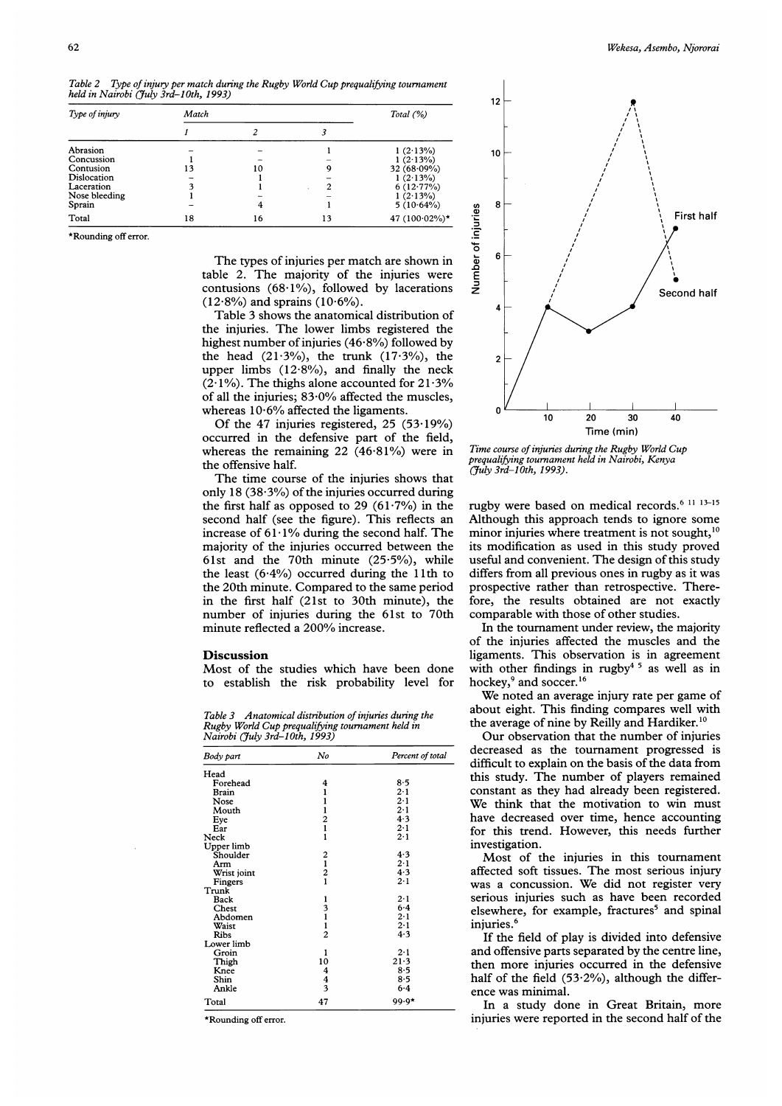| Type of injury | Match | Total $(%)$ |    |                   |
|----------------|-------|-------------|----|-------------------|
|                |       | 2           |    |                   |
| Abrasion       |       |             |    | $1(2.13\%)$       |
| Concussion     |       |             |    | $1(2.13\%)$       |
| Contusion      | 13    | 10          | 9  | 32 $(68.09\%)$    |
| Dislocation    |       |             |    | $1(2.13\%)$       |
| Laceration     |       |             | 2  | $6(12.77\%)$      |
| Nose bleeding  |       |             |    | 1(2.13%)          |
| Sprain         |       |             |    | $5(10.64\%)$      |
| Total          | 18    | 16          | 13 | 47 $(100.02\%)$ * |

Table 2 Type of injury per match during the Rugby World Cup prequalifying tournament held in Nairobi (July 3rd-10th, 1993)

\*Rounding off error.

The types of injuries per match are shown in table 2. The majority of the injuries were contusions (68.1%), followed by lacerations  $(12.8\%)$  and sprains  $(10.6\%)$ .

Table 3 shows the anatomical distribution of the injuries. The lower limbs registered the highest number of injuries  $(46.8\%)$  followed by the head  $(21.3\%)$ , the trunk  $(17.3\%)$ , the upper limbs  $(12.8\%)$ , and finally the neck  $(2.1\%)$ . The thighs alone accounted for 21.3% of all the injuries; 83-0% affected the muscles, whereas  $10.6\%$  affected the ligaments.

Of the 47 injuries registered, 25 (53-19%) occurred in the defensive part of the field, whereas the remaining 22 (46-81%) were in the offensive half.

The time course of the injuries shows that only 18 (38.3%) of the injuries occurred during the first half as opposed to 29  $(61.7%)$  in the second half (see the figure). This reflects an increase of  $61.1\%$  during the second half. The majority of the injuries occurred between the 61st and the 70th minute (25-5%), while the least  $(6.4\%)$  occurred during the 11th to the 20th minute. Compared to the same period in the first half (21st to 30th minute), the number of injuries during the 61st to 70th minute reflected <sup>a</sup> 200% increase.

## **Discussion**

Most of the studies which have been done to establish the risk probability level for

Table 3 Anatomical distribution of injuries during the Rugby World Cup prequalifying tournament held in Nairobi (7uly 3rd-1 0th, 1993)

| Body part   | No                                              | Percent of total |  |
|-------------|-------------------------------------------------|------------------|--|
| Head        |                                                 |                  |  |
| Forehead    | 4                                               | $8-5$            |  |
| Brain       |                                                 | 2·1              |  |
| Nose        | $\frac{1}{1}$ $\frac{1}{2}$ $\frac{1}{1}$       | 2.1              |  |
| Mouth       |                                                 | $2 - 1$          |  |
| Eye         |                                                 | 4.3              |  |
| Ear         |                                                 | $2 - 1$          |  |
| Neck        |                                                 | 2.1              |  |
| Upper limb  |                                                 |                  |  |
| Shoulder    |                                                 | 4.3              |  |
| Arm         | $\begin{array}{c} 2 \\ 1 \\ 2 \\ 1 \end{array}$ | $2-1$            |  |
| Wrist joint |                                                 | 4.3              |  |
| Fingers     |                                                 | $2 \cdot 1$      |  |
| Trunk       |                                                 |                  |  |
| Back        |                                                 | $2-1$            |  |
| Chest       | $\frac{1}{3}$ 1 1 2                             | $6 - 4$          |  |
| Abdomen     |                                                 | $2 \cdot 1$      |  |
| Waist       |                                                 | $2 - 1$          |  |
| Ribs        |                                                 | 4.3              |  |
| Lower limb  |                                                 |                  |  |
| Groin       | 1                                               | $2 \cdot 1$      |  |
| Thigh       | 10                                              | 21.3             |  |
| Knee        |                                                 | $8-5$            |  |
| Shin        | $\frac{4}{3}$                                   | 8.5              |  |
| Ankle       |                                                 | 6.4              |  |
| Total       | 47                                              | $99.9*$          |  |

\*Rounding off error.



Time course of injuries during the Rugby World Cup prequalifying tournament held in Nairobi, Kenya (July 3rd-10th, 1993).

rugby were based on medical records.<sup>6 11 13-15</sup> Although this approach tends to ignore some minor injuries where treatment is not sought,<sup>10</sup> its modification as used in this study proved useful and convenient. The design of this study differs from all previous ones in rugby as it was prospective rather than retrospective. Therefore, the results obtained are not exactly comparable with those of other studies.

In the tournament under review, the majority of the injuries affected the muscles and the ligaments. This observation is in agreement with other findings in rugby<sup>45</sup> as well as in hockey,<sup>9</sup> and soccer.<sup>16</sup>

We noted an average injury rate per game of about eight. This finding compares well with the average of nine by Reilly and Hardiker.<sup>10</sup>

Our observation that the number of injuries decreased as the tournament progressed is difficult to explain on the basis of the data from this study. The number of players remained constant as they had already been registered. We think that the motivation to win must have decreased over time, hence accounting for this trend. However, this needs further investigation.

Most of the injuries in this tournament affected soft tissues. The most serious injury was <sup>a</sup> concussion. We did not register very serious injuries such as have been recorded elsewhere, for example, fractures<sup>5</sup> and spinal injuries. $<sup>6</sup>$ </sup>

If the field of play is divided into defensive and offensive parts separated by the centre line, then more injuries occurred in the defensive half of the field  $(53.2\%)$ , although the difference was minimal.

In a study done in Great Britain, more injuries were reported in the second half of the